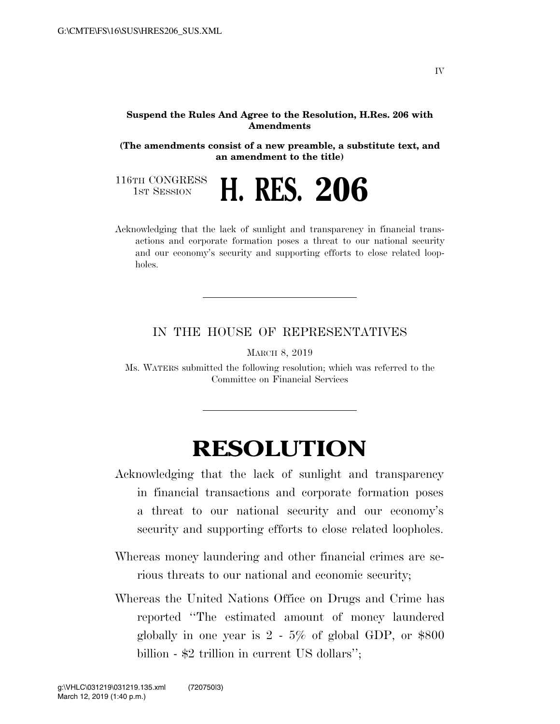## **Suspend the Rules And Agree to the Resolution, H.Res. 206 with Amendments**

**(The amendments consist of a new preamble, a substitute text, and an amendment to the title)**

116TH CONGRESS<br>1st Session

1ST SESSION **H. RES. 206**

Acknowledging that the lack of sunlight and transparency in financial transactions and corporate formation poses a threat to our national security and our economy's security and supporting efforts to close related loopholes.

## IN THE HOUSE OF REPRESENTATIVES

MARCH 8, 2019

Ms. WATERS submitted the following resolution; which was referred to the Committee on Financial Services

## **RESOLUTION**

- Acknowledging that the lack of sunlight and transparency in financial transactions and corporate formation poses a threat to our national security and our economy's security and supporting efforts to close related loopholes.
- Whereas money laundering and other financial crimes are serious threats to our national and economic security;
- Whereas the United Nations Office on Drugs and Crime has reported ''The estimated amount of money laundered globally in one year is  $2 - 5\%$  of global GDP, or \$800 billion - \$2 trillion in current US dollars'';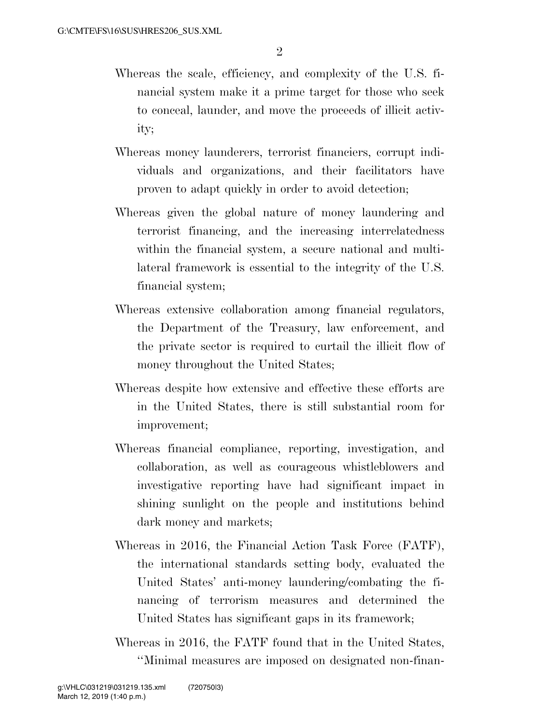- Whereas the scale, efficiency, and complexity of the U.S. financial system make it a prime target for those who seek to conceal, launder, and move the proceeds of illicit activity;
- Whereas money launderers, terrorist financiers, corrupt individuals and organizations, and their facilitators have proven to adapt quickly in order to avoid detection;
- Whereas given the global nature of money laundering and terrorist financing, and the increasing interrelatedness within the financial system, a secure national and multilateral framework is essential to the integrity of the U.S. financial system;
- Whereas extensive collaboration among financial regulators, the Department of the Treasury, law enforcement, and the private sector is required to curtail the illicit flow of money throughout the United States;
- Whereas despite how extensive and effective these efforts are in the United States, there is still substantial room for improvement;
- Whereas financial compliance, reporting, investigation, and collaboration, as well as courageous whistleblowers and investigative reporting have had significant impact in shining sunlight on the people and institutions behind dark money and markets;
- Whereas in 2016, the Financial Action Task Force (FATF), the international standards setting body, evaluated the United States' anti-money laundering/combating the financing of terrorism measures and determined the United States has significant gaps in its framework;
- Whereas in 2016, the FATF found that in the United States, ''Minimal measures are imposed on designated non-finan-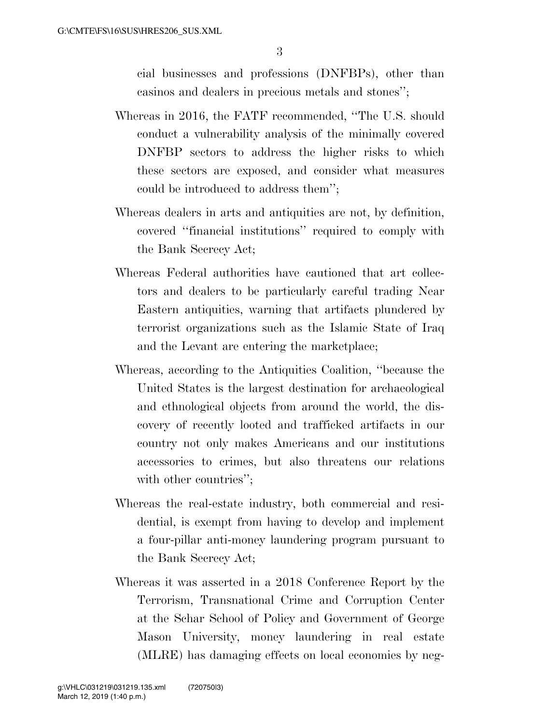cial businesses and professions (DNFBPs), other than casinos and dealers in precious metals and stones'';

- Whereas in 2016, the FATF recommended, ''The U.S. should conduct a vulnerability analysis of the minimally covered DNFBP sectors to address the higher risks to which these sectors are exposed, and consider what measures could be introduced to address them'';
- Whereas dealers in arts and antiquities are not, by definition, covered ''financial institutions'' required to comply with the Bank Secrecy Act;
- Whereas Federal authorities have cautioned that art collectors and dealers to be particularly careful trading Near Eastern antiquities, warning that artifacts plundered by terrorist organizations such as the Islamic State of Iraq and the Levant are entering the marketplace;
- Whereas, according to the Antiquities Coalition, ''because the United States is the largest destination for archaeological and ethnological objects from around the world, the discovery of recently looted and trafficked artifacts in our country not only makes Americans and our institutions accessories to crimes, but also threatens our relations with other countries":
- Whereas the real-estate industry, both commercial and residential, is exempt from having to develop and implement a four-pillar anti-money laundering program pursuant to the Bank Secrecy Act;
- Whereas it was asserted in a 2018 Conference Report by the Terrorism, Transnational Crime and Corruption Center at the Schar School of Policy and Government of George Mason University, money laundering in real estate (MLRE) has damaging effects on local economies by neg-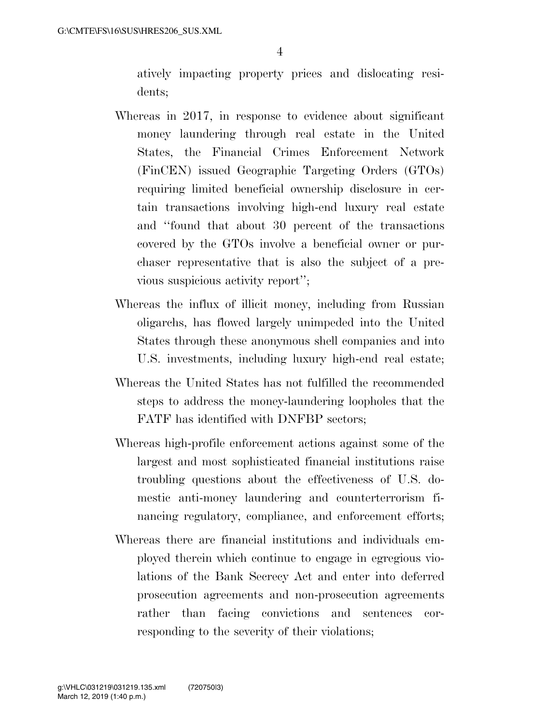atively impacting property prices and dislocating residents;

- Whereas in 2017, in response to evidence about significant money laundering through real estate in the United States, the Financial Crimes Enforcement Network (FinCEN) issued Geographic Targeting Orders (GTOs) requiring limited beneficial ownership disclosure in certain transactions involving high-end luxury real estate and ''found that about 30 percent of the transactions covered by the GTOs involve a beneficial owner or purchaser representative that is also the subject of a previous suspicious activity report'';
- Whereas the influx of illicit money, including from Russian oligarchs, has flowed largely unimpeded into the United States through these anonymous shell companies and into U.S. investments, including luxury high-end real estate;
- Whereas the United States has not fulfilled the recommended steps to address the money-laundering loopholes that the FATF has identified with DNFBP sectors;
- Whereas high-profile enforcement actions against some of the largest and most sophisticated financial institutions raise troubling questions about the effectiveness of U.S. domestic anti-money laundering and counterterrorism financing regulatory, compliance, and enforcement efforts;
- Whereas there are financial institutions and individuals employed therein which continue to engage in egregious violations of the Bank Secrecy Act and enter into deferred prosecution agreements and non-prosecution agreements rather than facing convictions and sentences corresponding to the severity of their violations;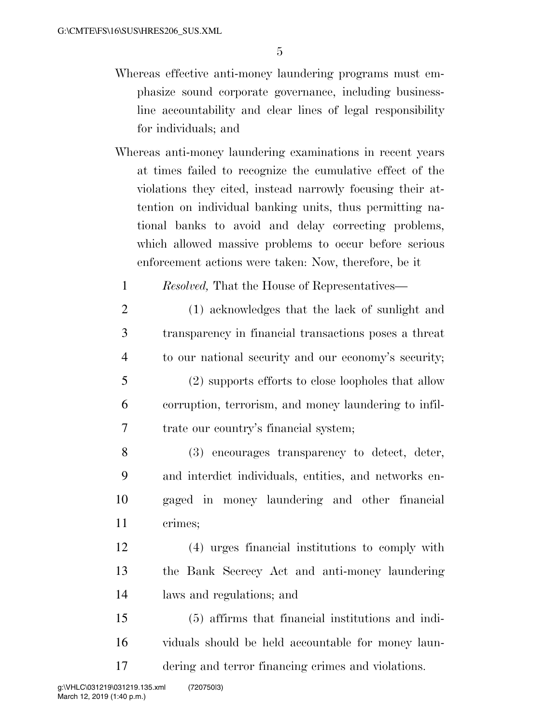- Whereas effective anti-money laundering programs must emphasize sound corporate governance, including businessline accountability and clear lines of legal responsibility for individuals; and
- Whereas anti-money laundering examinations in recent years at times failed to recognize the cumulative effect of the violations they cited, instead narrowly focusing their attention on individual banking units, thus permitting national banks to avoid and delay correcting problems, which allowed massive problems to occur before serious enforcement actions were taken: Now, therefore, be it
	- 1 *Resolved,* That the House of Representatives—
- 2 (1) acknowledges that the lack of sunlight and 3 transparency in financial transactions poses a threat 4 to our national security and our economy's security; 5 (2) supports efforts to close loopholes that allow 6 corruption, terrorism, and money laundering to infil-

7 trate our country's financial system;

 (3) encourages transparency to detect, deter, and interdict individuals, entities, and networks en- gaged in money laundering and other financial 11 crimes;

12 (4) urges financial institutions to comply with 13 the Bank Secrecy Act and anti-money laundering 14 laws and regulations; and

15 (5) affirms that financial institutions and indi-16 viduals should be held accountable for money laun-17 dering and terror financing crimes and violations.